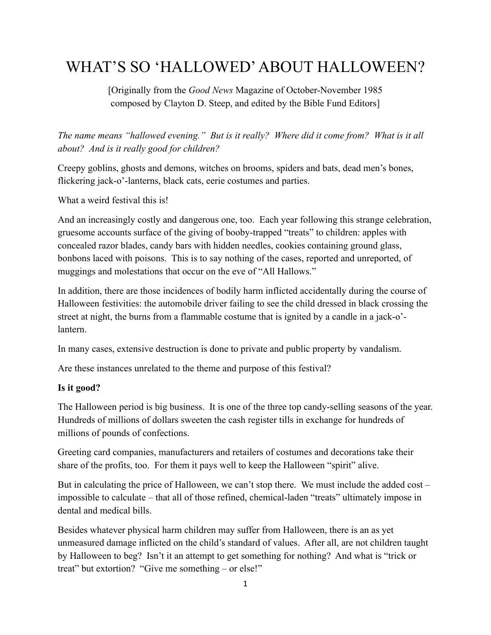# WHAT'S SO 'HALLOWED' ABOUT HALLOWEEN?

[Originally from the *Good News* Magazine of October-November 1985 composed by Clayton D. Steep, and edited by the Bible Fund Editors]

*The name means "hallowed evening." But is it really? Where did it come from? What is it all about? And is it really good for children?*

Creepy goblins, ghosts and demons, witches on brooms, spiders and bats, dead men's bones, flickering jack-o'-lanterns, black cats, eerie costumes and parties.

What a weird festival this is!

And an increasingly costly and dangerous one, too. Each year following this strange celebration, gruesome accounts surface of the giving of booby-trapped "treats" to children: apples with concealed razor blades, candy bars with hidden needles, cookies containing ground glass, bonbons laced with poisons. This is to say nothing of the cases, reported and unreported, of muggings and molestations that occur on the eve of "All Hallows."

In addition, there are those incidences of bodily harm inflicted accidentally during the course of Halloween festivities: the automobile driver failing to see the child dressed in black crossing the street at night, the burns from a flammable costume that is ignited by a candle in a jack-o' lantern.

In many cases, extensive destruction is done to private and public property by vandalism.

Are these instances unrelated to the theme and purpose of this festival?

### **Is it good?**

The Halloween period is big business. It is one of the three top candy-selling seasons of the year. Hundreds of millions of dollars sweeten the cash register tills in exchange for hundreds of millions of pounds of confections.

Greeting card companies, manufacturers and retailers of costumes and decorations take their share of the profits, too. For them it pays well to keep the Halloween "spirit" alive.

But in calculating the price of Halloween, we can't stop there. We must include the added cost – impossible to calculate – that all of those refined, chemical-laden "treats" ultimately impose in dental and medical bills.

Besides whatever physical harm children may suffer from Halloween, there is an as yet unmeasured damage inflicted on the child's standard of values. After all, are not children taught by Halloween to beg? Isn't it an attempt to get something for nothing? And what is "trick or treat" but extortion? "Give me something – or else!"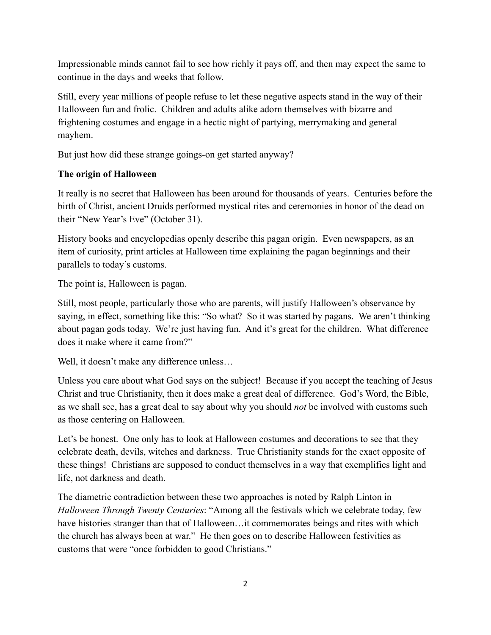Impressionable minds cannot fail to see how richly it pays off, and then may expect the same to continue in the days and weeks that follow.

Still, every year millions of people refuse to let these negative aspects stand in the way of their Halloween fun and frolic. Children and adults alike adorn themselves with bizarre and frightening costumes and engage in a hectic night of partying, merrymaking and general mayhem.

But just how did these strange goings-on get started anyway?

## **The origin of Halloween**

It really is no secret that Halloween has been around for thousands of years. Centuries before the birth of Christ, ancient Druids performed mystical rites and ceremonies in honor of the dead on their "New Year's Eve" (October 31).

History books and encyclopedias openly describe this pagan origin. Even newspapers, as an item of curiosity, print articles at Halloween time explaining the pagan beginnings and their parallels to today's customs.

The point is, Halloween is pagan.

Still, most people, particularly those who are parents, will justify Halloween's observance by saying, in effect, something like this: "So what? So it was started by pagans. We aren't thinking about pagan gods today. We're just having fun. And it's great for the children. What difference does it make where it came from?"

Well, it doesn't make any difference unless...

Unless you care about what God says on the subject! Because if you accept the teaching of Jesus Christ and true Christianity, then it does make a great deal of difference. God's Word, the Bible, as we shall see, has a great deal to say about why you should *not* be involved with customs such as those centering on Halloween.

Let's be honest. One only has to look at Halloween costumes and decorations to see that they celebrate death, devils, witches and darkness. True Christianity stands for the exact opposite of these things! Christians are supposed to conduct themselves in a way that exemplifies light and life, not darkness and death.

The diametric contradiction between these two approaches is noted by Ralph Linton in *Halloween Through Twenty Centuries*: "Among all the festivals which we celebrate today, few have histories stranger than that of Halloween…it commemorates beings and rites with which the church has always been at war." He then goes on to describe Halloween festivities as customs that were "once forbidden to good Christians."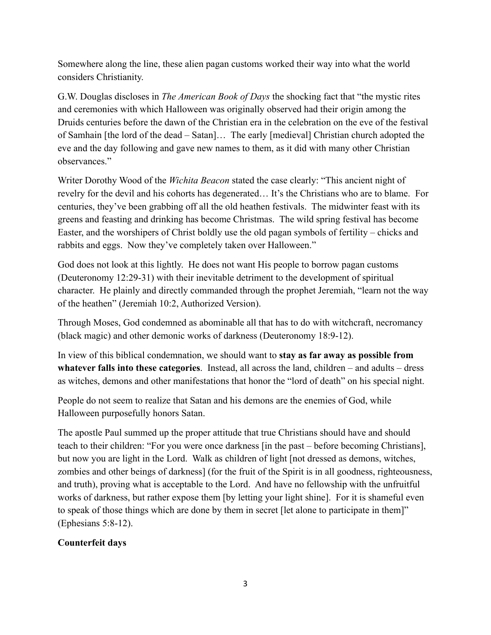Somewhere along the line, these alien pagan customs worked their way into what the world considers Christianity.

G.W. Douglas discloses in *The American Book of Days* the shocking fact that "the mystic rites and ceremonies with which Halloween was originally observed had their origin among the Druids centuries before the dawn of the Christian era in the celebration on the eve of the festival of Samhain [the lord of the dead – Satan]… The early [medieval] Christian church adopted the eve and the day following and gave new names to them, as it did with many other Christian observances."

Writer Dorothy Wood of the *Wichita Beacon* stated the case clearly: "This ancient night of revelry for the devil and his cohorts has degenerated… It's the Christians who are to blame. For centuries, they've been grabbing off all the old heathen festivals. The midwinter feast with its greens and feasting and drinking has become Christmas. The wild spring festival has become Easter, and the worshipers of Christ boldly use the old pagan symbols of fertility – chicks and rabbits and eggs. Now they've completely taken over Halloween."

God does not look at this lightly. He does not want His people to borrow pagan customs (Deuteronomy 12:29-31) with their inevitable detriment to the development of spiritual character. He plainly and directly commanded through the prophet Jeremiah, "learn not the way of the heathen" (Jeremiah 10:2, Authorized Version).

Through Moses, God condemned as abominable all that has to do with witchcraft, necromancy (black magic) and other demonic works of darkness (Deuteronomy 18:9-12).

In view of this biblical condemnation, we should want to **stay as far away as possible from whatever falls into these categories**. Instead, all across the land, children – and adults – dress as witches, demons and other manifestations that honor the "lord of death" on his special night.

People do not seem to realize that Satan and his demons are the enemies of God, while Halloween purposefully honors Satan.

The apostle Paul summed up the proper attitude that true Christians should have and should teach to their children: "For you were once darkness [in the past – before becoming Christians], but now you are light in the Lord. Walk as children of light [not dressed as demons, witches, zombies and other beings of darkness] (for the fruit of the Spirit is in all goodness, righteousness, and truth), proving what is acceptable to the Lord. And have no fellowship with the unfruitful works of darkness, but rather expose them [by letting your light shine]. For it is shameful even to speak of those things which are done by them in secret [let alone to participate in them]" (Ephesians 5:8-12).

### **Counterfeit days**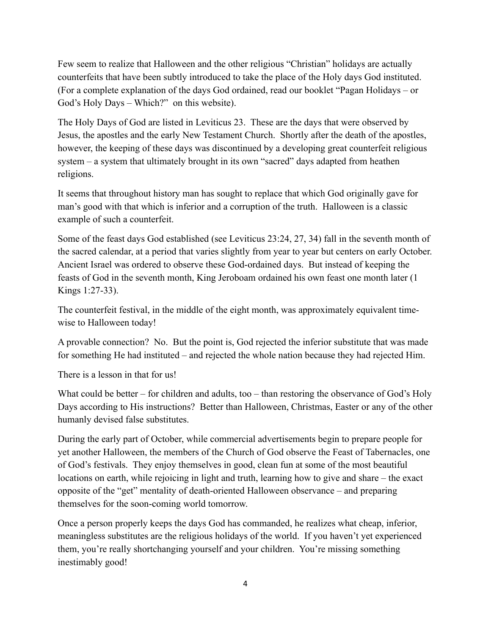Few seem to realize that Halloween and the other religious "Christian" holidays are actually counterfeits that have been subtly introduced to take the place of the Holy days God instituted. (For a complete explanation of the days God ordained, read our booklet "Pagan Holidays – or God's Holy Days – Which?" on this website).

The Holy Days of God are listed in Leviticus 23. These are the days that were observed by Jesus, the apostles and the early New Testament Church. Shortly after the death of the apostles, however, the keeping of these days was discontinued by a developing great counterfeit religious system – a system that ultimately brought in its own "sacred" days adapted from heathen religions.

It seems that throughout history man has sought to replace that which God originally gave for man's good with that which is inferior and a corruption of the truth. Halloween is a classic example of such a counterfeit.

Some of the feast days God established (see Leviticus 23:24, 27, 34) fall in the seventh month of the sacred calendar, at a period that varies slightly from year to year but centers on early October. Ancient Israel was ordered to observe these God-ordained days. But instead of keeping the feasts of God in the seventh month, King Jeroboam ordained his own feast one month later (1 Kings 1:27-33).

The counterfeit festival, in the middle of the eight month, was approximately equivalent timewise to Halloween today!

A provable connection? No. But the point is, God rejected the inferior substitute that was made for something He had instituted – and rejected the whole nation because they had rejected Him.

There is a lesson in that for us!

What could be better – for children and adults, too – than restoring the observance of God's Holy Days according to His instructions? Better than Halloween, Christmas, Easter or any of the other humanly devised false substitutes.

During the early part of October, while commercial advertisements begin to prepare people for yet another Halloween, the members of the Church of God observe the Feast of Tabernacles, one of God's festivals. They enjoy themselves in good, clean fun at some of the most beautiful locations on earth, while rejoicing in light and truth, learning how to give and share – the exact opposite of the "get" mentality of death-oriented Halloween observance – and preparing themselves for the soon-coming world tomorrow.

Once a person properly keeps the days God has commanded, he realizes what cheap, inferior, meaningless substitutes are the religious holidays of the world. If you haven't yet experienced them, you're really shortchanging yourself and your children. You're missing something inestimably good!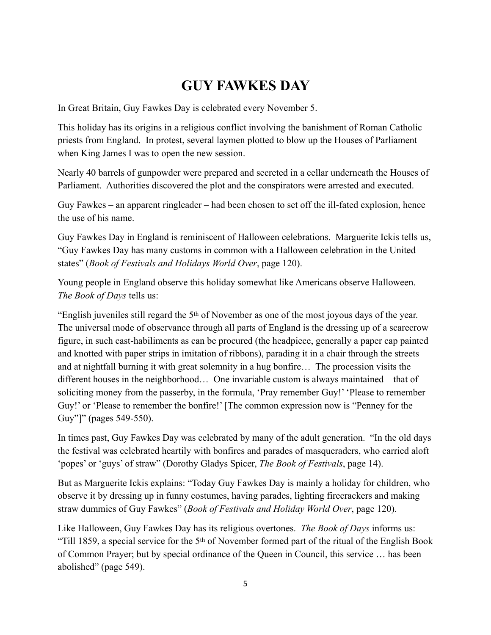# **GUY FAWKES DAY**

In Great Britain, Guy Fawkes Day is celebrated every November 5.

This holiday has its origins in a religious conflict involving the banishment of Roman Catholic priests from England. In protest, several laymen plotted to blow up the Houses of Parliament when King James I was to open the new session.

Nearly 40 barrels of gunpowder were prepared and secreted in a cellar underneath the Houses of Parliament. Authorities discovered the plot and the conspirators were arrested and executed.

Guy Fawkes – an apparent ringleader – had been chosen to set off the ill-fated explosion, hence the use of his name.

Guy Fawkes Day in England is reminiscent of Halloween celebrations. Marguerite Ickis tells us, "Guy Fawkes Day has many customs in common with a Halloween celebration in the United states" (*Book of Festivals and Holidays World Over*, page 120).

Young people in England observe this holiday somewhat like Americans observe Halloween. *The Book of Days* tells us:

"English juveniles still regard the 5th of November as one of the most joyous days of the year. The universal mode of observance through all parts of England is the dressing up of a scarecrow figure, in such cast-habiliments as can be procured (the headpiece, generally a paper cap painted and knotted with paper strips in imitation of ribbons), parading it in a chair through the streets and at nightfall burning it with great solemnity in a hug bonfire… The procession visits the different houses in the neighborhood… One invariable custom is always maintained – that of soliciting money from the passerby, in the formula, 'Pray remember Guy!' 'Please to remember Guy!' or 'Please to remember the bonfire!' [The common expression now is "Penney for the Guy"]" (pages 549-550).

In times past, Guy Fawkes Day was celebrated by many of the adult generation. "In the old days the festival was celebrated heartily with bonfires and parades of masqueraders, who carried aloft 'popes' or 'guys' of straw" (Dorothy Gladys Spicer, *The Book of Festivals*, page 14).

But as Marguerite Ickis explains: "Today Guy Fawkes Day is mainly a holiday for children, who observe it by dressing up in funny costumes, having parades, lighting firecrackers and making straw dummies of Guy Fawkes" (*Book of Festivals and Holiday World Over*, page 120).

Like Halloween, Guy Fawkes Day has its religious overtones. *The Book of Days* informs us: "Till 1859, a special service for the 5th of November formed part of the ritual of the English Book of Common Prayer; but by special ordinance of the Queen in Council, this service … has been abolished" (page 549).